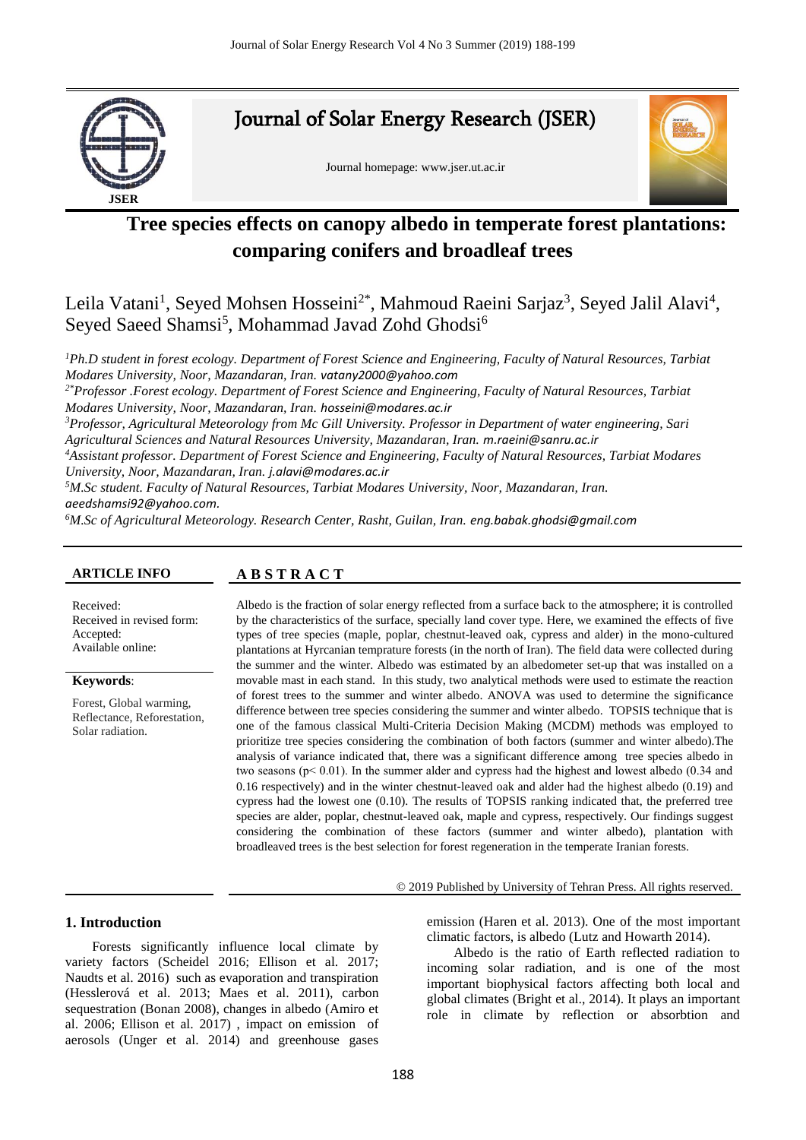

# **Tree species effects on canopy albedo in temperate forest plantations: comparing conifers and broadleaf trees**

Leila Vatani<sup>1</sup>, Seyed Mohsen Hosseini<sup>2\*</sup>, Mahmoud Raeini Sarjaz<sup>3</sup>, Seyed Jalil Alavi<sup>4</sup>, Seyed Saeed Shamsi<sup>5</sup>, Mohammad Javad Zohd Ghodsi<sup>6</sup>

*<sup>1</sup>Ph.D student in forest ecology. Department of Forest Science and Engineering, Faculty of Natural Resources, Tarbiat Modares University, Noor, Mazandaran, Iran. vatany2000@yahoo.com*

*2\*Professor .Forest ecology. Department of Forest Science and Engineering, Faculty of Natural Resources, Tarbiat Modares University, Noor, Mazandaran, Iran. hosseini@modares.ac.ir*

*<sup>3</sup>Professor, Agricultural Meteorology from Mc Gill University. Professor in Department of water engineering, Sari Agricultural Sciences and Natural Resources University, Mazandaran, Iran. m.raeini@sanru.ac.ir*

*<sup>4</sup>Assistant professor. Department of Forest Science and Engineering, Faculty of Natural Resources, Tarbiat Modares University, Noor, Mazandaran, Iran. j.alavi@modares.ac.ir*

*<sup>5</sup>M.Sc student. Faculty of Natural Resources, Tarbiat Modares University, Noor, Mazandaran, Iran. aeedshamsi92@yahoo.com.* 

*<sup>6</sup>M.Sc of Agricultural Meteorology. Research Center, Rasht, Guilan, Iran. eng.babak.ghodsi@gmail.com*

# **ARTICLE INFO A B S T R A C T**

Received: Received in revised form: Accepted: Available online:

#### **Keywords**:

Forest, Global warming, Reflectance, Reforestation, Solar radiation.

Albedo is the fraction of solar energy reflected from a surface back to the atmosphere; it is controlled by the characteristics of the surface, specially land cover type. Here, we examined the effects of five types of tree species (maple, poplar, chestnut-leaved oak, cypress and alder) in the mono-cultured plantations at Hyrcanian temprature forests (in the north of Iran). The field data were collected during the summer and the winter. Albedo was estimated by an albedometer set-up that was installed on a movable mast in each stand. In this study, two analytical methods were used to estimate the reaction of forest trees to the summer and winter albedo. ANOVA was used to determine the significance difference between tree species considering the summer and winter albedo. TOPSIS technique that is one of the famous classical Multi-Criteria Decision Making (MCDM) methods was employed to prioritize tree species considering the combination of both factors (summer and winter albedo).The analysis of variance indicated that, there was a significant difference among tree species albedo in two seasons ( $p < 0.01$ ). In the summer alder and cypress had the highest and lowest albedo (0.34 and 0.16 respectively) and in the winter chestnut-leaved oak and alder had the highest albedo (0.19) and cypress had the lowest one (0.10). The results of TOPSIS ranking indicated that, the preferred tree species are alder, poplar, chestnut-leaved oak, maple and cypress, respectively. Our findings suggest considering the combination of these factors (summer and winter albedo), plantation with broadleaved trees is the best selection for forest regeneration in the temperate Iranian forests.

#### © 2019 Published by University of Tehran Press. All rights reserved.

# **1. Introduction**

Forests significantly influence local climate by variety factors (Scheidel 2016; Ellison et al. 2017; Naudts et al. 2016) such as evaporation and transpiration (Hesslerová et al. 2013; Maes et al. 2011), carbon sequestration (Bonan 2008), changes in albedo (Amiro et al. 2006; Ellison et al. 2017) , impact on emission of aerosols (Unger et al. 2014) and greenhouse gases emission (Haren et al. 2013). One of the most important climatic factors, is albedo (Lutz and Howarth 2014).

Albedo is the ratio of Earth reflected radiation to incoming solar radiation, and is one of the most important biophysical factors affecting both local and global climates (Bright et al., 2014). It plays an important role in climate by reflection or absorbtion and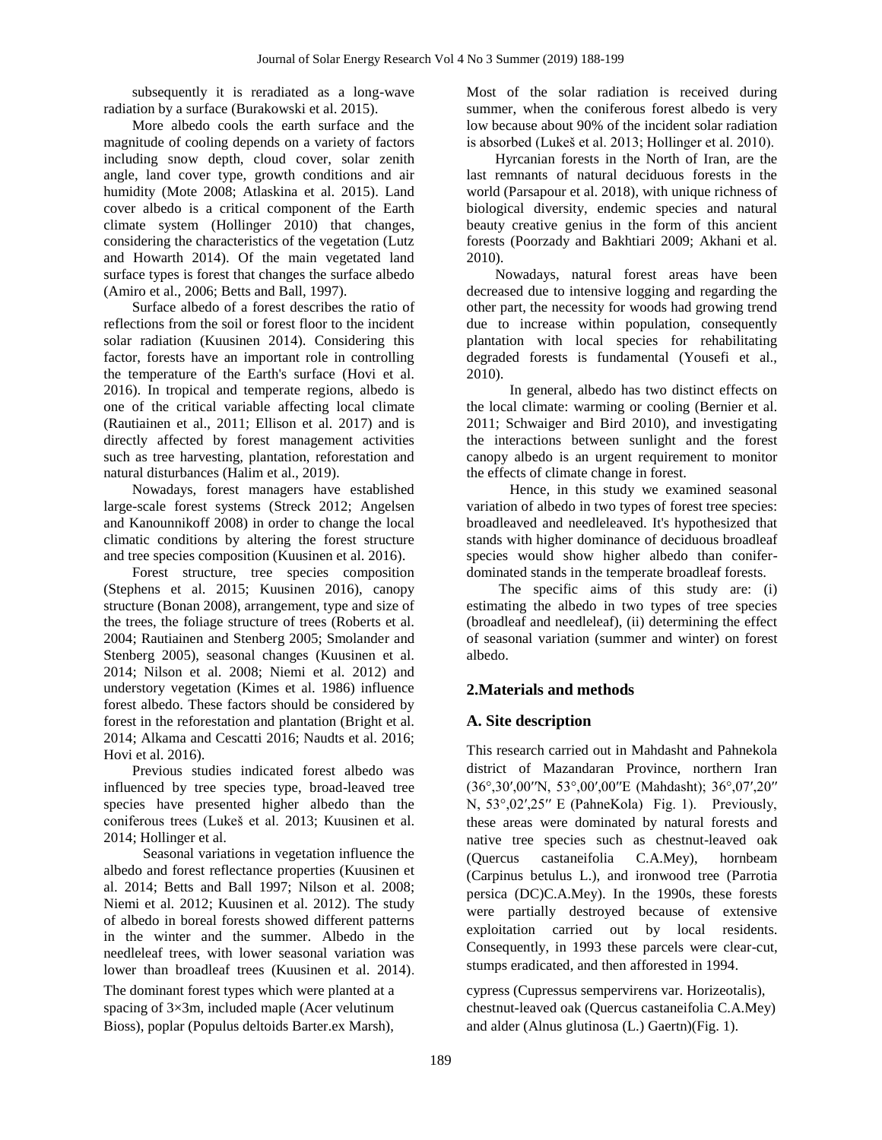subsequently it is reradiated as a long-wave radiation by a surface (Burakowski et al. 2015).

More albedo cools the earth surface and the magnitude of cooling depends on a variety of factors including snow depth, cloud cover, solar zenith angle, land cover type, growth conditions and air humidity (Mote 2008; Atlaskina et al. 2015). Land cover albedo is a critical component of the Earth climate system (Hollinger 2010) that changes, considering the characteristics of the vegetation (Lutz and Howarth 2014). Of the main vegetated land surface types is forest that changes the surface albedo (Amiro et al., 2006; Betts and Ball, 1997).

Surface albedo of a forest describes the ratio of reflections from the soil or forest floor to the incident solar radiation (Kuusinen 2014). Considering this factor, forests have an important role in controlling the temperature of the Earth's surface (Hovi et al. 2016). In tropical and temperate regions, albedo is one of the critical variable affecting local climate (Rautiainen et al., 2011; Ellison et al. 2017) and is directly affected by forest management activities such as tree harvesting, plantation, reforestation and natural disturbances (Halim et al., 2019).

Nowadays, forest managers have established large-scale forest systems (Streck 2012; Angelsen and Kanounnikoff 2008) in order to change the local climatic conditions by altering the forest structure and tree species composition (Kuusinen et al. 2016).

Forest structure, tree species composition (Stephens et al. 2015; Kuusinen 2016), canopy structure (Bonan 2008), arrangement, type and size of the trees, the foliage structure of trees (Roberts et al. 2004; Rautiainen and Stenberg 2005; Smolander and Stenberg 2005), seasonal changes (Kuusinen et al. 2014; Nilson et al. 2008; Niemi et al. 2012) and understory vegetation (Kimes et al. 1986) influence forest albedo. These factors should be considered by forest in the reforestation and plantation (Bright et al. 2014; Alkama and Cescatti 2016; Naudts et al. 2016; Hovi et al. 2016).

Previous studies indicated forest albedo was influenced by tree species type, broad-leaved tree species have presented higher albedo than the coniferous trees (Lukeš et al. 2013; Kuusinen et al. 2014; Hollinger et al.

 Seasonal variations in vegetation influence the albedo and forest reflectance properties (Kuusinen et al. 2014; Betts and Ball 1997; Nilson et al. 2008; Niemi et al. 2012; Kuusinen et al. 2012). The study of albedo in boreal forests showed different patterns in the winter and the summer. Albedo in the needleleaf trees, with lower seasonal variation was lower than broadleaf trees (Kuusinen et al. 2014). The dominant forest types which were planted at a spacing of 3×3m, included maple (Acer velutinum Bioss), poplar (Populus deltoids Barter.ex Marsh),

Most of the solar radiation is received during summer, when the coniferous forest albedo is very low because about 90% of the incident solar radiation is absorbed (Lukeš et al. 2013; Hollinger et al. 2010).

Hyrcanian forests in the North of Iran, are the last remnants of natural deciduous forests in the world (Parsapour et al. 2018), with unique richness of biological diversity, endemic species and natural beauty creative genius in the form of this ancient forests (Poorzady and Bakhtiari 2009; Akhani et al. 2010).

Nowadays, natural forest areas have been decreased due to intensive logging and regarding the other part, the necessity for woods had growing trend due to increase within population, consequently plantation with local species for rehabilitating degraded forests is fundamental (Yousefi et al., 2010).

 In general, albedo has two distinct effects on the local climate: warming or cooling (Bernier et al. 2011; Schwaiger and Bird 2010), and investigating the interactions between sunlight and the forest canopy albedo is an urgent requirement to monitor the effects of climate change in forest.

 Hence, in this study we examined seasonal variation of albedo in two types of forest tree species: broadleaved and needleleaved. It's hypothesized that stands with higher dominance of deciduous broadleaf species would show higher albedo than coniferdominated stands in the temperate broadleaf forests.

The specific aims of this study are: (i) estimating the albedo in two types of tree species (broadleaf and needleleaf), (ii) determining the effect of seasonal variation (summer and winter) on forest albedo.

# **2.Materials and methods**

# **A. Site description**

This research carried out in Mahdasht and Pahnekola district of Mazandaran Province, northern Iran (36°,30′,00′′N, 53°,00′,00′′E (Mahdasht); 36°,07′,20′′ N, 53°,02′,25′′ E (PahneKola) Fig. 1). Previously, these areas were dominated by natural forests and native tree species such as chestnut-leaved oak (Quercus castaneifolia C.A.Mey), hornbeam (Carpinus betulus L.), and ironwood tree (Parrotia persica (DC)C.A.Mey). In the 1990s, these forests were partially destroyed because of extensive exploitation carried out by local residents. Consequently, in 1993 these parcels were clear-cut, stumps eradicated, and then afforested in 1994.

cypress (Cupressus sempervirens var. Horizeotalis), chestnut-leaved oak (Quercus castaneifolia C.A.Mey) and alder (Alnus glutinosa (L.) Gaertn)(Fig. 1).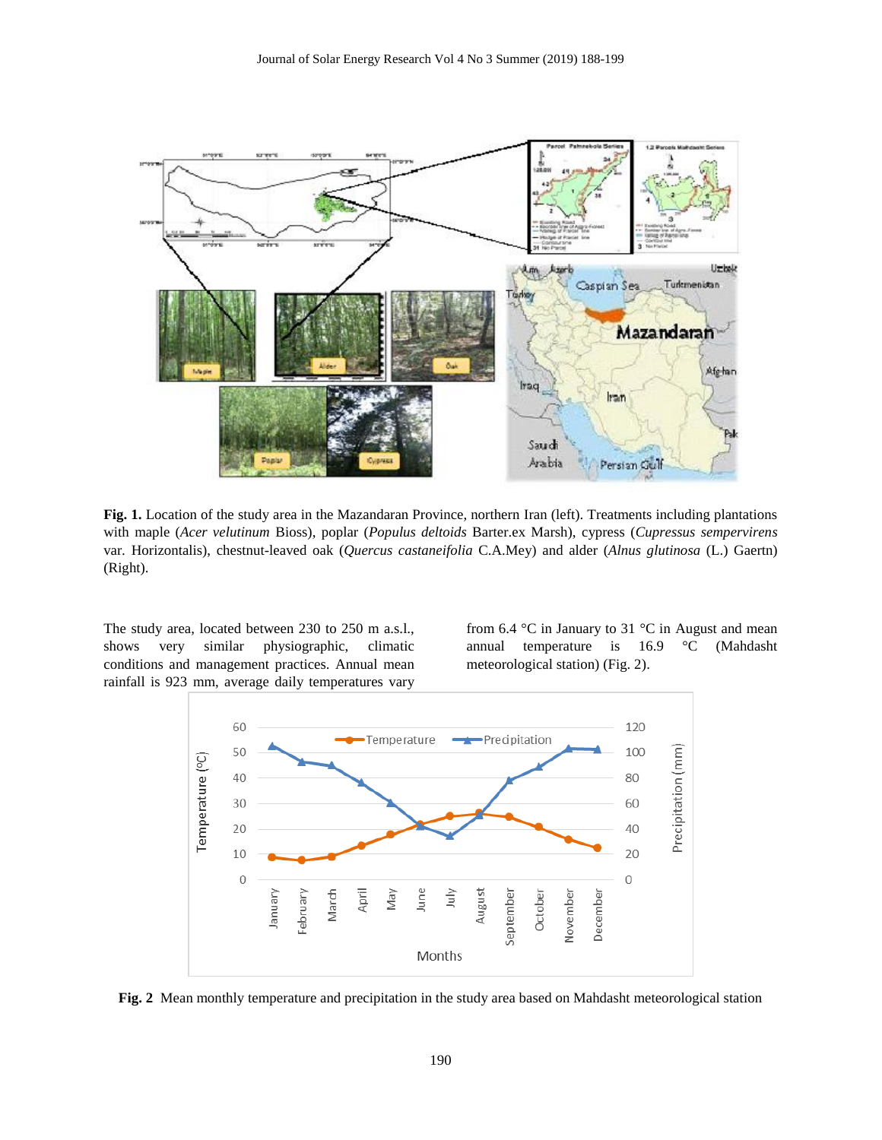

**Fig. 1.** Location of the study area in the Mazandaran Province, northern Iran (left). Treatments including plantations with maple (*Acer velutinum* Bioss), poplar (*Populus deltoids* Barter.ex Marsh), cypress (*Cupressus sempervirens*  var*.* Horizontalis), chestnut-leaved oak (*Quercus castaneifolia* C.A.Mey) and alder (*Alnus glutinosa* (L.) Gaertn) (Right).

The study area, located between 230 to 250 m a.s.l., shows very similar physiographic, climatic conditions and management practices. Annual mean rainfall is 923 mm, average daily temperatures vary

from 6.4  $\degree$ C in January to 31  $\degree$ C in August and mean annual temperature is 16.9 °C (Mahdasht meteorological station) (Fig. 2).



**Fig. 2** Mean monthly temperature and precipitation in the study area based on Mahdasht meteorological station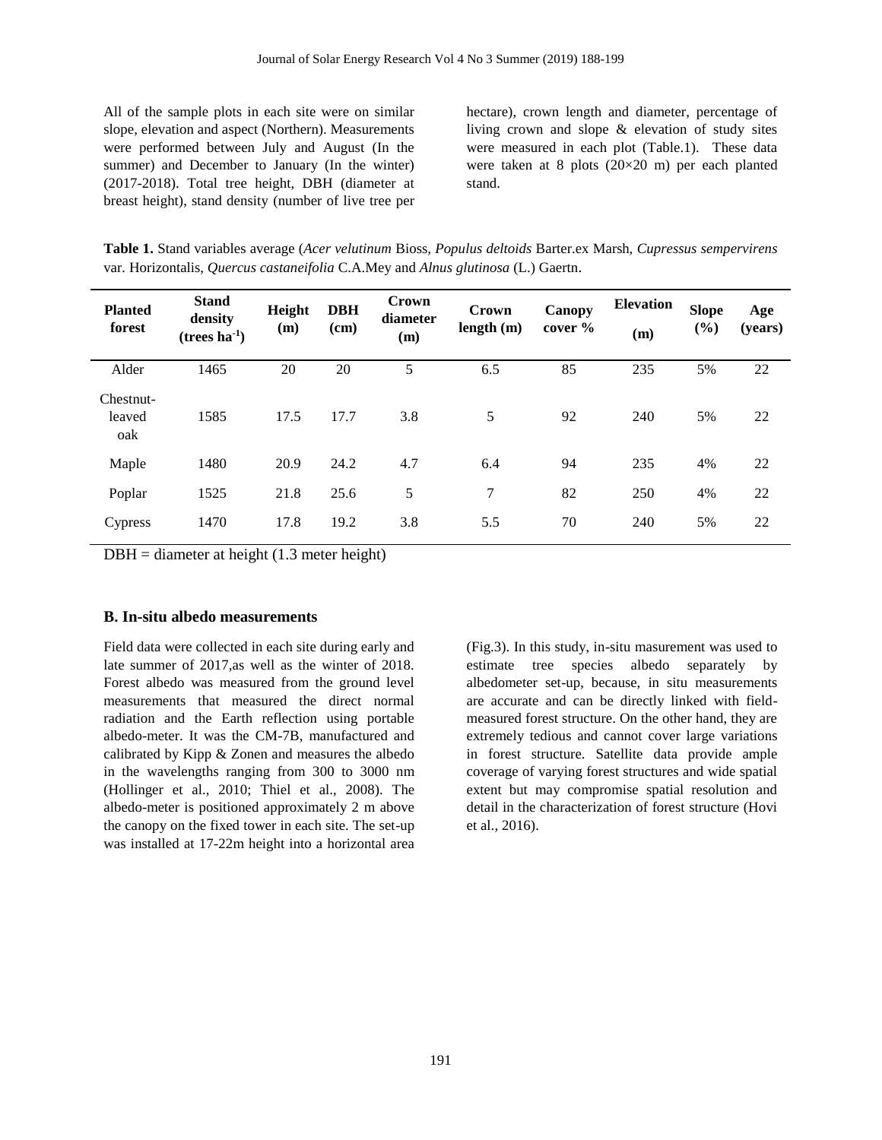All of the sample plots in each site were on similar slope, elevation and aspect (Northern). Measurements were performed between July and August (In the summer) and December to January (In the winter) (2017-2018). Total tree height, DBH (diameter at breast height), stand density (number of live tree per hectare), crown length and diameter, percentage of living crown and slope & elevation of study sites were measured in each plot (Table.1). These data were taken at 8 plots (20×20 m) per each planted stand.

**Table 1.** Stand variables average (*Acer velutinum* Bioss*, Populus deltoids* Barter.ex Marsh, *Cupressus sempervirens*  var*.* Horizontalis, *Quercus castaneifolia* C.A.Mey and *Alnus glutinosa* (L.) Gaertn.

| <b>Planted</b><br>forest   | <b>Stand</b><br>density<br>$(trees ha-1)$ | Height<br>(m) | <b>DBH</b><br>(cm) | Crown<br>diameter<br>(m) | Crown<br>length(m) | Canopy<br>cover % | <b>Elevation</b><br>(m) | <b>Slope</b><br>(%) | Age<br>(years) |
|----------------------------|-------------------------------------------|---------------|--------------------|--------------------------|--------------------|-------------------|-------------------------|---------------------|----------------|
| Alder                      | 1465                                      | 20            | 20                 | 5                        | 6.5                | 85                | 235                     | 5%                  | 22             |
| Chestnut-<br>leaved<br>oak | 1585                                      | 17.5          | 17.7               | 3.8                      | 5                  | 92                | 240                     | 5%                  | 22             |
| Maple                      | 1480                                      | 20.9          | 24.2               | 4.7                      | 6.4                | 94                | 235                     | 4%                  | 22             |
| Poplar                     | 1525                                      | 21.8          | 25.6               | 5                        | 7                  | 82                | 250                     | 4%                  | 22             |
| <b>Cypress</b>             | 1470                                      | 17.8          | 19.2               | 3.8                      | 5.5                | 70                | 240                     | 5%                  | 22             |

 $DBH =$  diameter at height (1.3 meter height)

# **B. In-situ albedo measurements**

Field data were collected in each site during early and late summer of 2017,as well as the winter of 2018. Forest albedo was measured from the ground level measurements that measured the direct normal radiation and the Earth reflection using portable albedo-meter. It was the CM-7B, manufactured and calibrated by Kipp & Zonen and measures the albedo in the wavelengths ranging from 300 to 3000 nm (Hollinger et al., 2010; Thiel et al., 2008). The albedo-meter is positioned approximately 2 m above the canopy on the fixed tower in each site. The set-up was installed at 17-22m height into a horizontal area (Fig.3). In this study, in-situ masurement was used to estimate tree species albedo separately by albedometer set-up, because, in situ measurements are accurate and can be directly linked with fieldmeasured forest structure. On the other hand, they are extremely tedious and cannot cover large variations in forest structure. Satellite data provide ample coverage of varying forest structures and wide spatial extent but may compromise spatial resolution and detail in the characterization of forest structure (Hovi et al., 2016).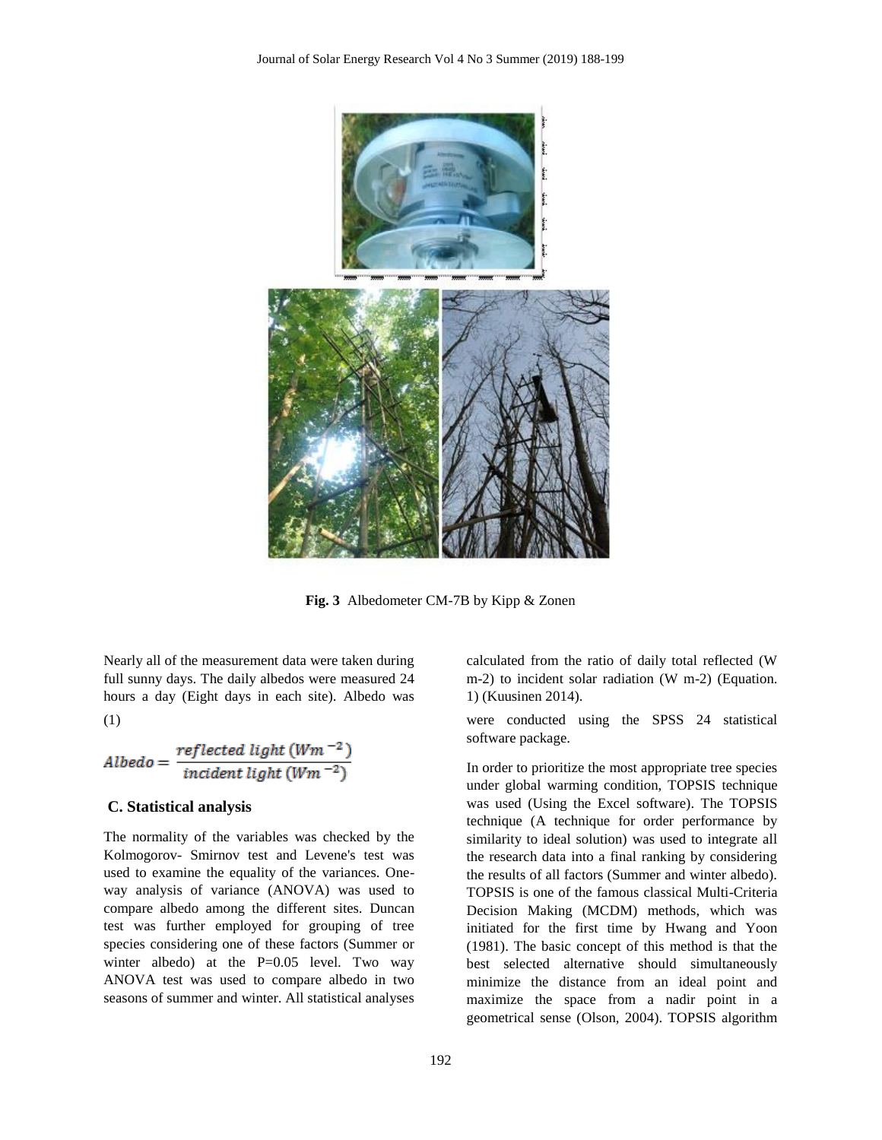

**Fig. 3** Albedometer CM-7B by Kipp & Zonen

Nearly all of the measurement data were taken during full sunny days. The daily albedos were measured 24 hours a day (Eight days in each site). Albedo was (1)

$$
Albedo = \frac{reflected light (Wm^{-2})}{incident light (Wm^{-2})}
$$

#### **C. Statistical analysis**

The normality of the variables was checked by the Kolmogorov- Smirnov test and Levene's test was used to examine the equality of the variances. Oneway analysis of variance (ANOVA) was used to compare albedo among the different sites. Duncan test was further employed for grouping of tree species considering one of these factors (Summer or winter albedo) at the  $P=0.05$  level. Two way ANOVA test was used to compare albedo in two seasons of summer and winter. All statistical analyses In order to prioritize the most appropriate tree species under global warming condition, TOPSIS technique

1) (Kuusinen 2014).

software package.

calculated from the ratio of daily total reflected (W m-2) to incident solar radiation (W m-2) (Equation.

were conducted using the SPSS 24 statistical

was used (Using the Excel software). The TOPSIS technique (A technique for order performance by similarity to ideal solution) was used to integrate all the research data into a final ranking by considering the results of all factors (Summer and winter albedo). TOPSIS is one of the famous classical Multi-Criteria Decision Making (MCDM) methods, which was initiated for the first time by Hwang and Yoon (1981). The basic concept of this method is that the best selected alternative should simultaneously minimize the distance from an ideal point and maximize the space from a nadir point in a geometrical sense (Olson, 2004). TOPSIS algorithm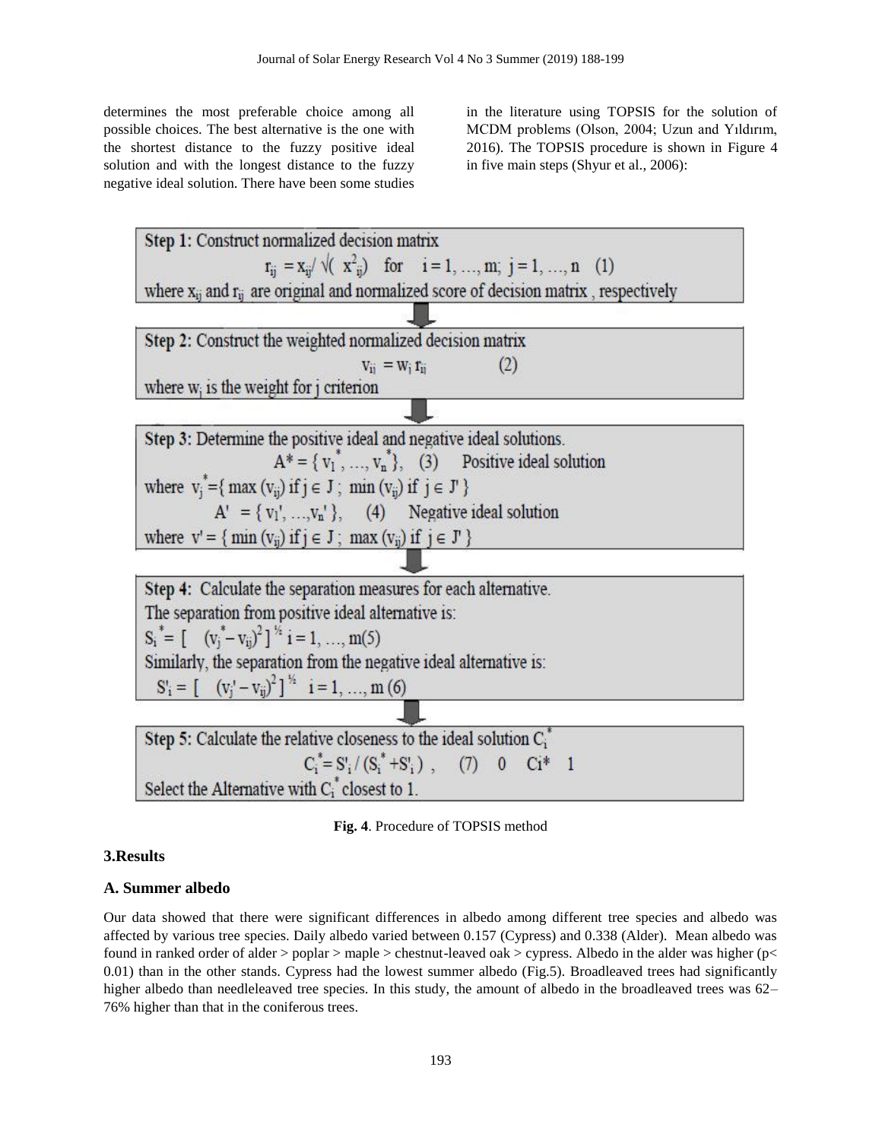determines the most preferable choice among all possible choices. The best alternative is the one with the shortest distance to the fuzzy positive ideal solution and with the longest distance to the fuzzy negative ideal solution. There have been some studies in the literature using TOPSIS for the solution of MCDM problems (Olson, 2004; Uzun and Yıldırım, 2016). The TOPSIS procedure is shown in Figure 4 in five main steps (Shyur et al., 2006):



**Fig. 4**. Procedure of TOPSIS method

# **3.Results**

# **A. Summer albedo**

Our data showed that there were significant differences in albedo among different tree species and albedo was affected by various tree species. Daily albedo varied between 0.157 (Cypress) and 0.338 (Alder). Mean albedo was found in ranked order of alder > poplar > maple > chestnut-leaved oak > cypress. Albedo in the alder was higher (p< 0.01) than in the other stands. Cypress had the lowest summer albedo (Fig.5). Broadleaved trees had significantly higher albedo than needleleaved tree species. In this study, the amount of albedo in the broadleaved trees was 62– 76% higher than that in the coniferous trees.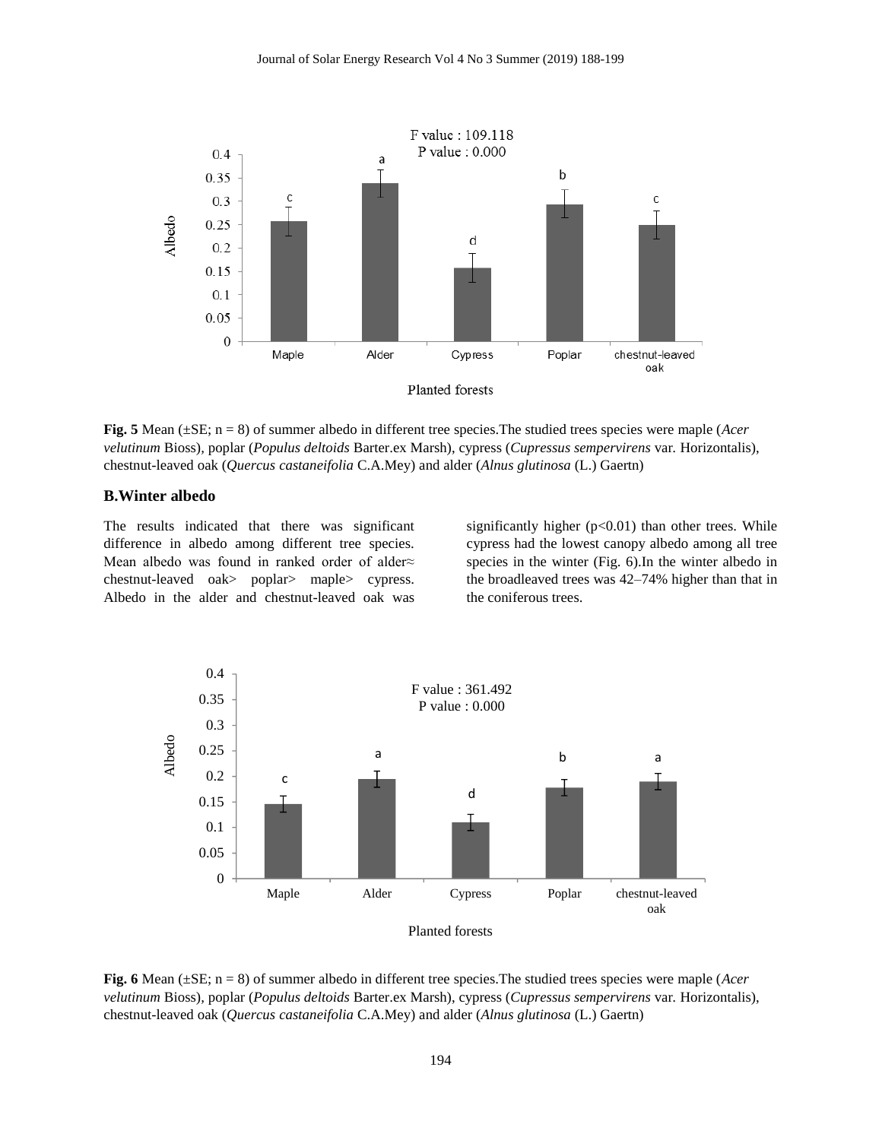

**Fig. 5** Mean (±SE; n = 8) of summer albedo in different tree species.The studied trees species were maple (*Acer velutinum* Bioss)*,* poplar (*Populus deltoids* Barter.ex Marsh), cypress (*Cupressus sempervirens* var*.* Horizontalis), chestnut-leaved oak (*Quercus castaneifolia* C.A.Mey) and alder (*Alnus glutinosa* (L.) Gaertn)

# **B.Winter albedo**

The results indicated that there was significant difference in albedo among different tree species. Mean albedo was found in ranked order of alder≈ chestnut-leaved oak> poplar> maple> cypress. Albedo in the alder and chestnut-leaved oak was significantly higher  $(p<0.01)$  than other trees. While cypress had the lowest canopy albedo among all tree species in the winter (Fig. 6).In the winter albedo in the broadleaved trees was 42–74% higher than that in the coniferous trees.



**Fig. 6** Mean (±SE; n = 8) of summer albedo in different tree species.The studied trees species were maple (*Acer velutinum* Bioss)*,* poplar (*Populus deltoids* Barter.ex Marsh), cypress (*Cupressus sempervirens* var*.* Horizontalis), chestnut-leaved oak (*Quercus castaneifolia* C.A.Mey) and alder (*Alnus glutinosa* (L.) Gaertn)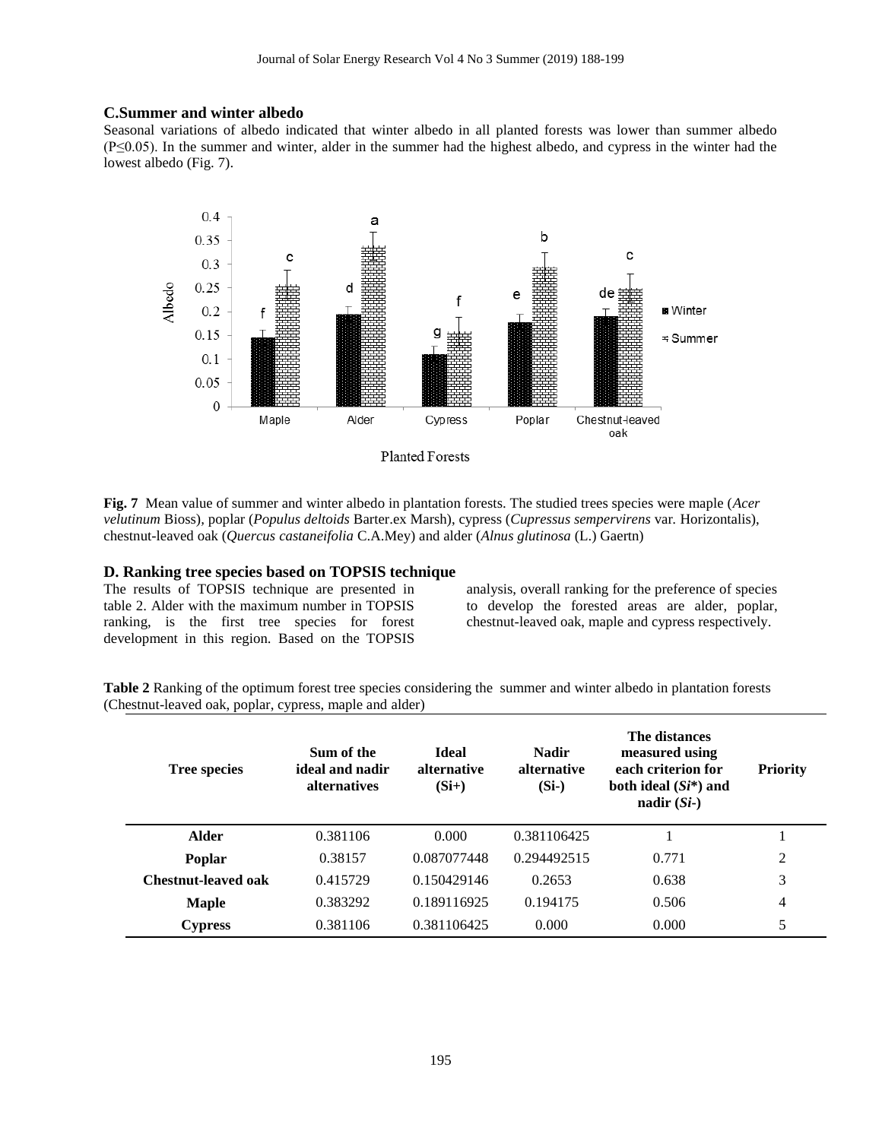# **C.Summer and winter albedo**

Seasonal variations of albedo indicated that winter albedo in all planted forests was lower than summer albedo (P≤0.05). In the summer and winter, alder in the summer had the highest albedo, and cypress in the winter had the lowest albedo (Fig. 7).



Planted Forests

**Fig. 7** Mean value of summer and winter albedo in plantation forests. The studied trees species were maple (*Acer velutinum* Bioss)*,* poplar (*Populus deltoids* Barter.ex Marsh), cypress (*Cupressus sempervirens* var*.* Horizontalis), chestnut-leaved oak (*Quercus castaneifolia* C.A.Mey) and alder (*Alnus glutinosa* (L.) Gaertn)

# **D. Ranking tree species based on TOPSIS technique**

The results of TOPSIS technique are presented in table 2. Alder with the maximum number in TOPSIS ranking, is the first tree species for forest development in this region. Based on the TOPSIS

analysis, overall ranking for the preference of species to develop the forested areas are alder, poplar, chestnut-leaved oak, maple and cypress respectively.

**Table 2** Ranking of the optimum forest tree species considering the summer and winter albedo in plantation forests (Chestnut-leaved oak, poplar, cypress, maple and alder)

| <b>Tree species</b> | Sum of the<br>ideal and nadir<br>alternatives | <b>Ideal</b><br>alternative<br>$(Si+)$ | <b>Nadir</b><br>alternative<br>$(Si-)$ | The distances<br>measured using<br>each criterion for<br>both ideal $(Si^*)$ and<br>nadir $(Si-)$ | <b>Priority</b> |
|---------------------|-----------------------------------------------|----------------------------------------|----------------------------------------|---------------------------------------------------------------------------------------------------|-----------------|
| <b>Alder</b>        | 0.381106                                      | 0.000                                  | 0.381106425                            |                                                                                                   |                 |
| <b>Poplar</b>       | 0.38157                                       | 0.087077448                            | 0.294492515                            | 0.771                                                                                             | 2               |
| Chestnut-leaved oak | 0.415729                                      | 0.150429146                            | 0.2653                                 | 0.638                                                                                             | 3               |
| <b>Maple</b>        | 0.383292                                      | 0.189116925                            | 0.194175                               | 0.506                                                                                             | $\overline{4}$  |
| <b>Cypress</b>      | 0.381106                                      | 0.381106425                            | 0.000                                  | 0.000                                                                                             | 5               |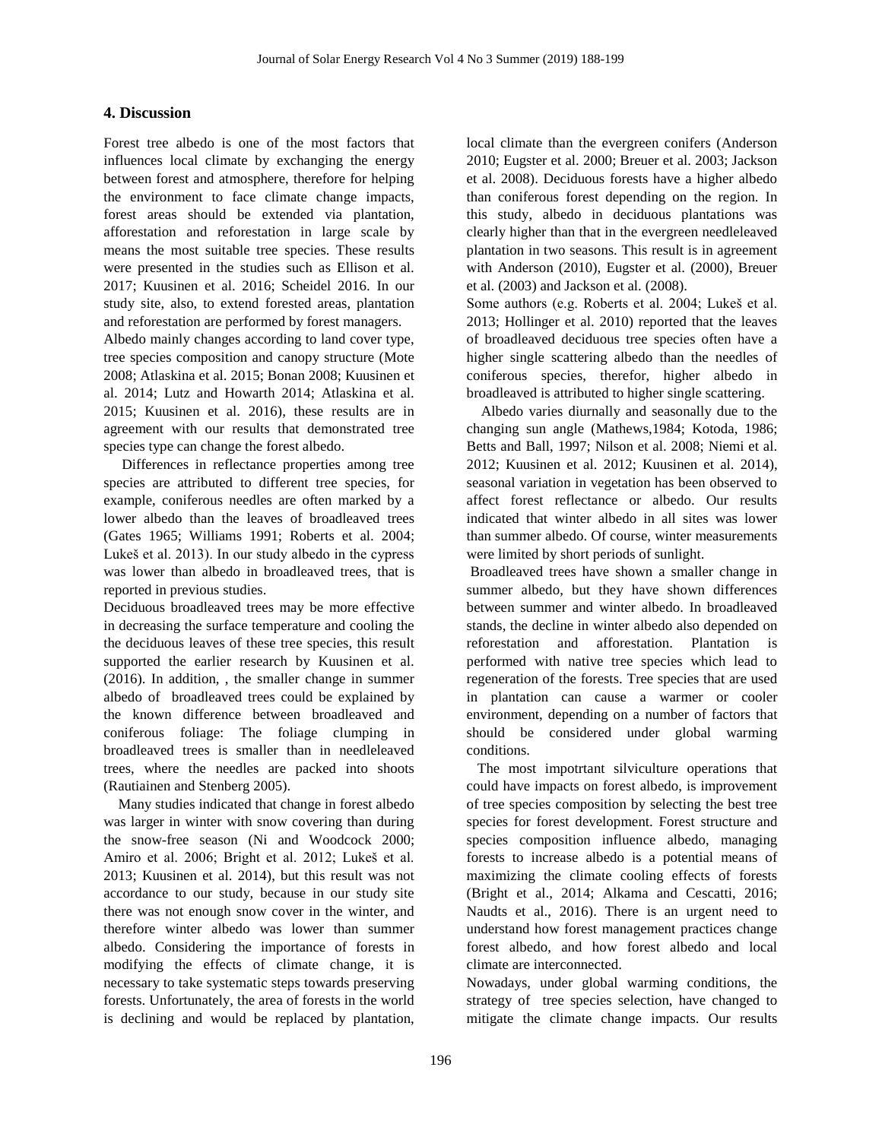# **4. Discussion**

Forest tree albedo is one of the most factors that influences local climate by exchanging the energy between forest and atmosphere, therefore for helping the environment to face climate change impacts, forest areas should be extended via plantation, afforestation and reforestation in large scale by means the most suitable tree species. These results were presented in the studies such as Ellison et al. 2017; Kuusinen et al. 2016; Scheidel 2016. In our study site, also, to extend forested areas, plantation and reforestation are performed by forest managers.

Albedo mainly changes according to land cover type, tree species composition and canopy structure (Mote 2008; Atlaskina et al. 2015; Bonan 2008; Kuusinen et al. 2014; Lutz and Howarth 2014; Atlaskina et al. 2015; Kuusinen et al. 2016), these results are in agreement with our results that demonstrated tree species type can change the forest albedo.

 Differences in reflectance properties among tree species are attributed to different tree species, for example, coniferous needles are often marked by a lower albedo than the leaves of broadleaved trees (Gates 1965; Williams 1991; Roberts et al. 2004; Lukeš et al. 2013). In our study albedo in the cypress was lower than albedo in broadleaved trees, that is reported in previous studies.

Deciduous broadleaved trees may be more effective in decreasing the surface temperature and cooling the the deciduous leaves of these tree species, this result supported the earlier research by Kuusinen et al. (2016). In addition, , the smaller change in summer albedo of broadleaved trees could be explained by the known difference between broadleaved and coniferous foliage: The foliage clumping in broadleaved trees is smaller than in needleleaved trees, where the needles are packed into shoots (Rautiainen and Stenberg 2005).

 Many studies indicated that change in forest albedo was larger in winter with snow covering than during the snow-free season (Ni and Woodcock 2000; Amiro et al. 2006; Bright et al. 2012; Lukeš et al. 2013; Kuusinen et al. 2014), but this result was not accordance to our study, because in our study site there was not enough snow cover in the winter, and therefore winter albedo was lower than summer albedo. Considering the importance of forests in modifying the effects of climate change, it is necessary to take systematic steps towards preserving forests. Unfortunately, the area of forests in the world is declining and would be replaced by plantation, local climate than the evergreen conifers (Anderson 2010; Eugster et al. 2000; Breuer et al. 2003; Jackson et al. 2008). Deciduous forests have a higher albedo than coniferous forest depending on the region. In this study, albedo in deciduous plantations was clearly higher than that in the evergreen needleleaved plantation in two seasons. This result is in agreement with Anderson (2010), Eugster et al. (2000), Breuer et al. (2003) and Jackson et al. (2008).

Some authors (e.g. Roberts et al. 2004; Lukeš et al. 2013; Hollinger et al. 2010) reported that the leaves of broadleaved deciduous tree species often have a higher single scattering albedo than the needles of coniferous species, therefor, higher albedo in broadleaved is attributed to higher single scattering.

 Albedo varies diurnally and seasonally due to the changing sun angle (Mathews,1984; Kotoda, 1986; Betts and Ball, 1997; Nilson et al. 2008; Niemi et al. 2012; Kuusinen et al. 2012; Kuusinen et al. 2014), seasonal variation in vegetation has been observed to affect forest reflectance or albedo. Our results indicated that winter albedo in all sites was lower than summer albedo. Of course, winter measurements were limited by short periods of sunlight.

Broadleaved trees have shown a smaller change in summer albedo, but they have shown differences between summer and winter albedo. In broadleaved stands, the decline in winter albedo also depended on reforestation and afforestation. Plantation is performed with native tree species which lead to regeneration of the forests. Tree species that are used in plantation can cause a warmer or cooler environment, depending on a number of factors that should be considered under global warming conditions.

 The most impotrtant silviculture operations that could have impacts on forest albedo, is improvement of tree species composition by selecting the best tree species for forest development. Forest structure and species composition influence albedo, managing forests to increase albedo is a potential means of maximizing the climate cooling effects of forests (Bright et al., 2014; Alkama and Cescatti, 2016; Naudts et al., 2016). There is an urgent need to understand how forest management practices change forest albedo, and how forest albedo and local climate are interconnected.

Nowadays, under global warming conditions, the strategy of tree species selection, have changed to mitigate the climate change impacts. Our results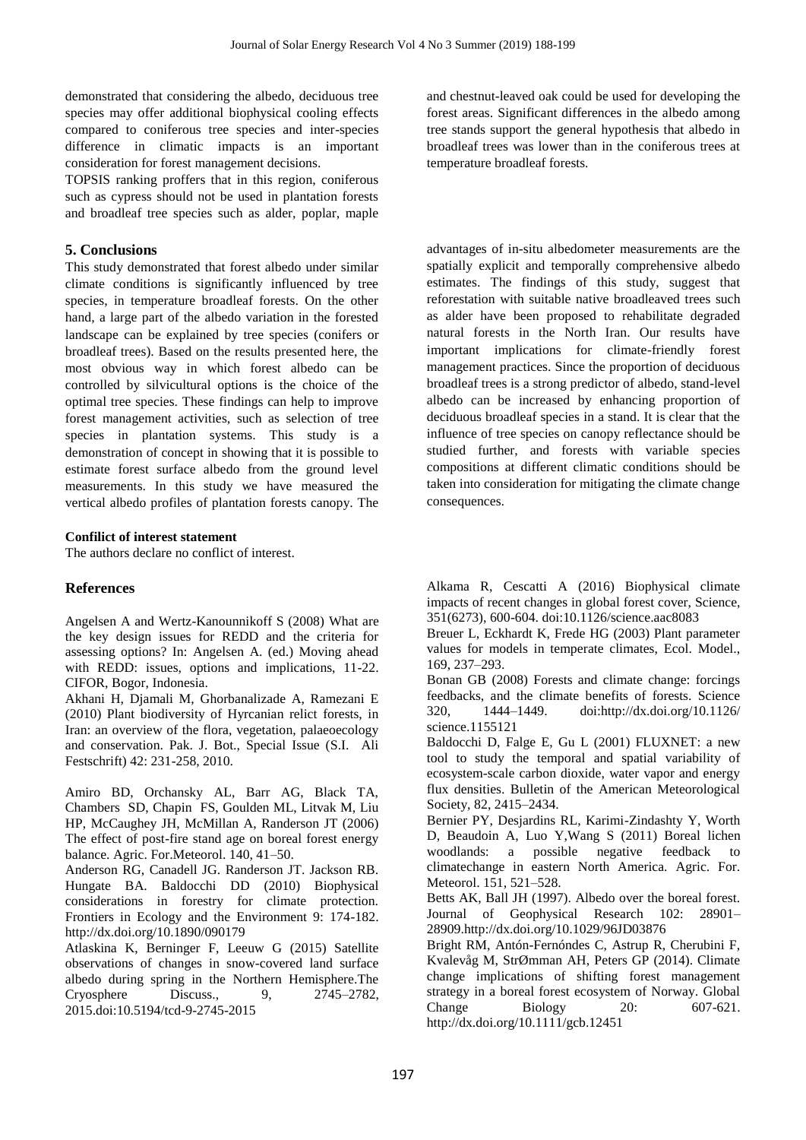demonstrated that considering the albedo, deciduous tree species may offer additional biophysical cooling effects compared to coniferous tree species and inter-species difference in climatic impacts is an important consideration for forest management decisions.

TOPSIS ranking proffers that in this region, coniferous such as cypress should not be used in plantation forests and broadleaf tree species such as alder, poplar, maple

# **5. Conclusions**

This study demonstrated that forest albedo under similar climate conditions is significantly influenced by tree species, in temperature broadleaf forests. On the other hand, a large part of the albedo variation in the forested landscape can be explained by tree species (conifers or broadleaf trees). Based on the results presented here, the most obvious way in which forest albedo can be controlled by silvicultural options is the choice of the optimal tree species. These findings can help to improve forest management activities, such as selection of tree species in plantation systems. This study is a demonstration of concept in showing that it is possible to estimate forest surface albedo from the ground level measurements. In this study we have measured the vertical albedo profiles of plantation forests canopy. The

#### **Confilict of interest statement**

The authors declare no conflict of interest.

## **References**

Angelsen A and Wertz-Kanounnikoff S (2008) What are the key design issues for REDD and the criteria for assessing options? In: Angelsen A. (ed.) Moving ahead with REDD: issues, options and implications, 11-22. CIFOR, Bogor, Indonesia.

Akhani H, Djamali M, Ghorbanalizade A, Ramezani E (2010) Plant biodiversity of Hyrcanian relict forests, in Iran: an overview of the flora, vegetation, palaeoecology and conservation. Pak. J. Bot., Special Issue (S.I. Ali Festschrift) 42: 231-258, 2010.

Amiro BD, Orchansky AL, Barr AG, Black TA, Chambers SD, Chapin FS, Goulden ML, Litvak M, Liu HP, McCaughey JH, McMillan A, Randerson JT (2006) The effect of post-fire stand age on boreal forest energy balance. Agric. For.Meteorol. 140, 41–50.

Anderson RG, Canadell JG. Randerson JT. Jackson RB. Hungate BA. Baldocchi DD (2010) Biophysical considerations in forestry for climate protection. Frontiers in Ecology and the Environment 9: 174-182. http://dx.doi.org/10.1890/090179

Atlaskina K, Berninger F, Leeuw G (2015) Satellite observations of changes in snow-covered land surface albedo during spring in the Northern Hemisphere.The Cryosphere Discuss., 9, 2745–2782, 2015.doi:10.5194/tcd-9-2745-2015

and chestnut-leaved oak could be used for developing the forest areas. Significant differences in the albedo among tree stands support the general hypothesis that albedo in broadleaf trees was lower than in the coniferous trees at temperature broadleaf forests.

advantages of in-situ albedometer measurements are the spatially explicit and temporally comprehensive albedo estimates. The findings of this study, suggest that reforestation with suitable native broadleaved trees such as alder have been proposed to rehabilitate degraded natural forests in the North Iran. Our results have important implications for climate-friendly forest management practices. Since the proportion of deciduous broadleaf trees is a strong predictor of albedo, stand-level albedo can be increased by enhancing proportion of deciduous broadleaf species in a stand. It is clear that the influence of tree species on canopy reflectance should be studied further, and forests with variable species compositions at different climatic conditions should be taken into consideration for mitigating the climate change consequences.

Alkama R, Cescatti A (2016) Biophysical climate impacts of recent changes in global forest cover, Science, 351(6273), 600-604. doi:10.1126/science.aac8083

Breuer L, Eckhardt K, Frede HG (2003) Plant parameter values for models in temperate climates, Ecol. Model., 169, 237–293.

Bonan GB (2008) Forests and climate change: forcings feedbacks, and the climate benefits of forests. Science 320, 1444–1449. doi:http://dx.doi.org/10.1126/ science.1155121

Baldocchi D, Falge E, Gu L (2001) FLUXNET: a new tool to study the temporal and spatial variability of ecosystem-scale carbon dioxide, water vapor and energy flux densities. Bulletin of the American Meteorological Society, 82, 2415–2434.

Bernier PY, Desjardins RL, Karimi-Zindashty Y, Worth D, Beaudoin A, Luo Y,Wang S (2011) Boreal lichen woodlands: a possible negative feedback to climatechange in eastern North America. Agric. For. Meteorol. 151, 521–528.

Betts AK, Ball JH (1997). Albedo over the boreal forest. Journal of Geophysical Research 102: 28901– 28909.http://dx.doi.org/10.1029/96JD03876

Bright RM, Antón-Fernóndes C, Astrup R, Cherubini F, Kvalevåg M, StrØmman AH, Peters GP (2014). Climate change implications of shifting forest management strategy in a boreal forest ecosystem of Norway. Global Change Biology 20: 607-621. http://dx.doi.org/10.1111/gcb.12451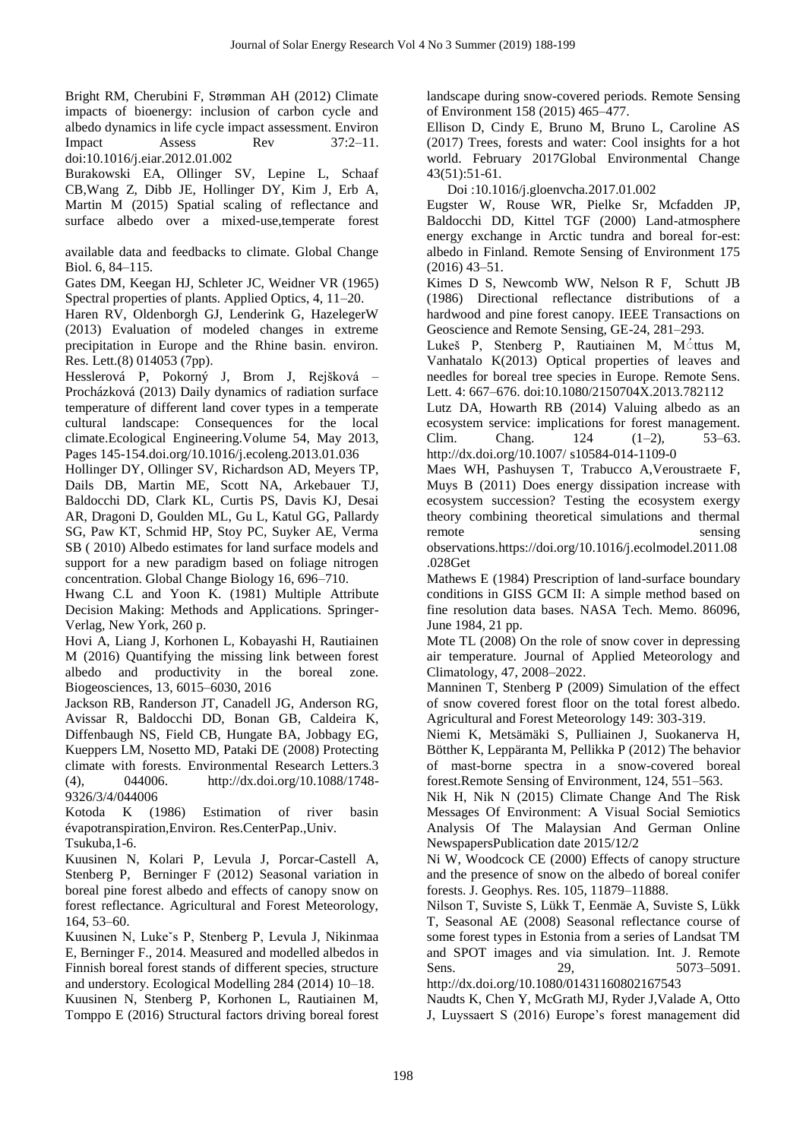Bright RM, Cherubini F, Strømman AH (2012) Climate impacts of bioenergy: inclusion of carbon cycle and albedo dynamics in life cycle impact assessment. Environ Impact Assess Rev 37:2–11. doi:10.1016/j.eiar.2012.01.002

Burakowski EA, Ollinger SV, Lepine L, Schaaf CB,Wang Z, Dibb JE, Hollinger DY, Kim J, Erb A, Martin M (2015) Spatial scaling of reflectance and surface albedo over a mixed-use,temperate forest

available data and feedbacks to climate. Global Change Biol. 6, 84–115.

Gates DM, Keegan HJ, Schleter JC, Weidner VR (1965) Spectral properties of plants. Applied Optics, 4, 11–20.

Haren RV, Oldenborgh GJ, Lenderink G, HazelegerW (2013) Evaluation of modeled changes in extreme precipitation in Europe and the Rhine basin. environ. Res. Lett.(8) 014053 (7pp).

Hesslerová P, Pokorný J, Brom J, Rejšková – Procházková (2013) Daily dynamics of radiation surface temperature of different land cover types in a temperate cultural landscape: Consequences for the local climate.Ecological Engineering.Volume 54, May 2013, Pages 145-154.doi.org/10.1016/j.ecoleng.2013.01.036

Hollinger DY, Ollinger SV, Richardson AD, Meyers TP, Dails DB, Martin ME, Scott NA, Arkebauer TJ, Baldocchi DD, Clark KL, Curtis PS, Davis KJ, Desai AR, Dragoni D, Goulden ML, Gu L, Katul GG, Pallardy SG, Paw KT, Schmid HP, Stoy PC, Suyker AE, Verma SB ( 2010) Albedo estimates for land surface models and support for a new paradigm based on foliage nitrogen concentration. Global Change Biology 16, 696–710.

Hwang C.L and Yoon K. (1981) Multiple Attribute Decision Making: Methods and Applications. Springer-Verlag, New York, 260 p.

Hovi A, Liang J, Korhonen L, Kobayashi H, Rautiainen M (2016) Quantifying the missing link between forest albedo and productivity in the boreal zone. Biogeosciences, 13, 6015–6030, 2016

Jackson RB, Randerson JT, Canadell JG, Anderson RG, Avissar R, Baldocchi DD, Bonan GB, Caldeira K, Diffenbaugh NS, Field CB, Hungate BA, Jobbagy EG, Kueppers LM, Nosetto MD, Pataki DE (2008) Protecting climate with forests. Environmental Research Letters.3 (4), 044006. http://dx.doi.org/10.1088/1748- 9326/3/4/044006

Kotoda K (1986) Estimation of river basin évapotranspiration,Environ. Res.CenterPap.,Univ. Tsukuba,1-6.

Kuusinen N, Kolari P, Levula J, Porcar-Castell A, Stenberg P, Berninger F (2012) Seasonal variation in boreal pine forest albedo and effects of canopy snow on forest reflectance. Agricultural and Forest Meteorology, 164, 53–60.

Kuusinen N, Lukeˇs P, Stenberg P, Levula J, Nikinmaa E, Berninger F., 2014. Measured and modelled albedos in Finnish boreal forest stands of different species, structure and understory. Ecological Modelling 284 (2014) 10–18. Kuusinen N, Stenberg P, Korhonen L, Rautiainen M, Tomppo E (2016) Structural factors driving boreal forest landscape during snow-covered periods. Remote Sensing of Environment 158 (2015) 465–477.

Ellison D, Cindy E, Bruno M, Bruno L, Caroline AS (2017) Trees, forests and water: Cool insights for a hot world. February 2017Global Environmental Change 43(51):51-61.

Doi :10.1016/j.gloenvcha.2017.01.002

Eugster W, Rouse WR, Pielke Sr, Mcfadden JP, Baldocchi DD, Kittel TGF (2000) Land-atmosphere energy exchange in Arctic tundra and boreal for-est: albedo in Finland. Remote Sensing of Environment 175 (2016) 43–51.

Kimes D S, Newcomb WW, Nelson R F, Schutt JB (1986) Directional reflectance distributions of a hardwood and pine forest canopy. IEEE Transactions on Geoscience and Remote Sensing, GE-24, 281–293.

Lukeš P, Stenberg P, Rautiainen M, M<sup>ottus</sup> M, Vanhatalo K(2013) Optical properties of leaves and needles for boreal tree species in Europe. Remote Sens. Lett. 4: 667–676. doi:10.1080/2150704X.2013.782112

Lutz DA, Howarth RB (2014) Valuing albedo as an ecosystem service: implications for forest management. Clim. Chang. 124 (1–2), 53–63. http://dx.doi.org/10.1007/ s10584-014-1109-0

Maes WH, Pashuysen T, Trabucco A,Veroustraete F, Muys B (2011) Does energy dissipation increase with ecosystem succession? Testing the ecosystem exergy theory combining theoretical simulations and thermal remote sensing

observations.https://doi.org/10.1016/j.ecolmodel.2011.08 .028Get

Mathews E (1984) Prescription of land-surface boundary conditions in GISS GCM II: A simple method based on fine resolution data bases. NASA Tech. Memo. 86096, June 1984, 21 pp.

Mote TL (2008) On the role of snow cover in depressing air temperature. Journal of Applied Meteorology and Climatology, 47, 2008–2022.

Manninen T, Stenberg P (2009) Simulation of the effect of snow covered forest floor on the total forest albedo. Agricultural and Forest Meteorology 149: 303-319.

Niemi K, Metsämäki S, Pulliainen J, Suokanerva H, Bötther K, Leppäranta M, Pellikka P (2012) The behavior of mast-borne spectra in a snow-covered boreal forest.Remote Sensing of Environment, 124, 551–563.

Nik H, Nik N (2015) Climate Change And The Risk Messages Of Environment: A Visual Social Semiotics Analysis Of The Malaysian And German Online NewspapersPublication date 2015/12/2

Ni W, Woodcock CE (2000) Effects of canopy structure and the presence of snow on the albedo of boreal conifer forests. J. Geophys. Res. 105, 11879–11888.

Nilson T, Suviste S, Lükk T, Eenmäe A, Suviste S, Lükk T, Seasonal AE (2008) Seasonal reflectance course of some forest types in Estonia from a series of Landsat TM and SPOT images and via simulation. Int. J. Remote Sens. 29, 5073–5091.

http://dx.doi.org/10.1080/01431160802167543 Naudts K, Chen Y, McGrath MJ, Ryder J,Valade A, Otto

J, Luyssaert S (2016) Europe's forest management did